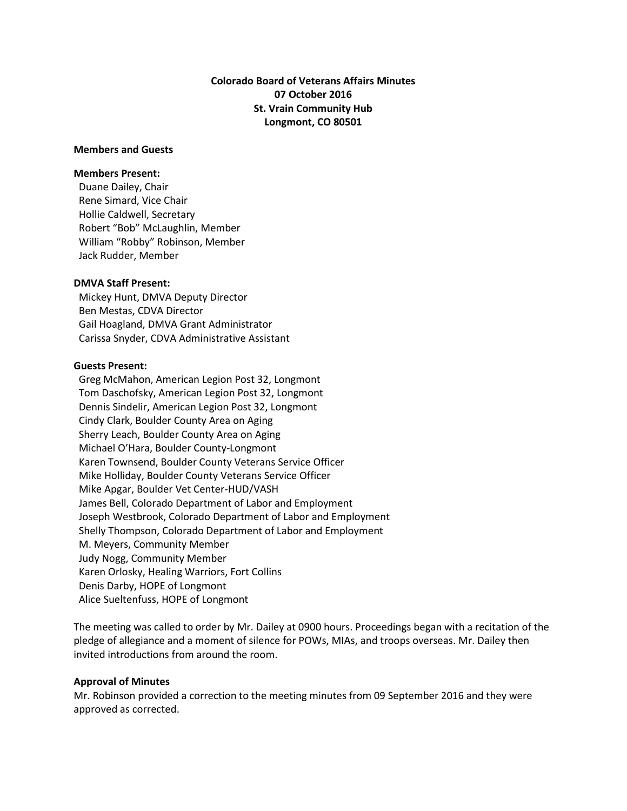# **Colorado Board of Veterans Affairs Minutes 07 October 2016 St. Vrain Community Hub Longmont, CO 80501**

## **Members and Guests**

#### **Members Present:**

Duane Dailey, Chair Rene Simard, Vice Chair Hollie Caldwell, Secretary Robert "Bob" McLaughlin, Member William "Robby" Robinson, Member Jack Rudder, Member

## **DMVA Staff Present:**

 Mickey Hunt, DMVA Deputy Director Ben Mestas, CDVA Director Gail Hoagland, DMVA Grant Administrator Carissa Snyder, CDVA Administrative Assistant

### **Guests Present:**

 Greg McMahon, American Legion Post 32, Longmont Tom Daschofsky, American Legion Post 32, Longmont Dennis Sindelir, American Legion Post 32, Longmont Cindy Clark, Boulder County Area on Aging Sherry Leach, Boulder County Area on Aging Michael O'Hara, Boulder County-Longmont Karen Townsend, Boulder County Veterans Service Officer Mike Holliday, Boulder County Veterans Service Officer Mike Apgar, Boulder Vet Center-HUD/VASH James Bell, Colorado Department of Labor and Employment Joseph Westbrook, Colorado Department of Labor and Employment Shelly Thompson, Colorado Department of Labor and Employment M. Meyers, Community Member Judy Nogg, Community Member Karen Orlosky, Healing Warriors, Fort Collins Denis Darby, HOPE of Longmont Alice Sueltenfuss, HOPE of Longmont

The meeting was called to order by Mr. Dailey at 0900 hours. Proceedings began with a recitation of the pledge of allegiance and a moment of silence for POWs, MIAs, and troops overseas. Mr. Dailey then invited introductions from around the room.

#### **Approval of Minutes**

Mr. Robinson provided a correction to the meeting minutes from 09 September 2016 and they were approved as corrected.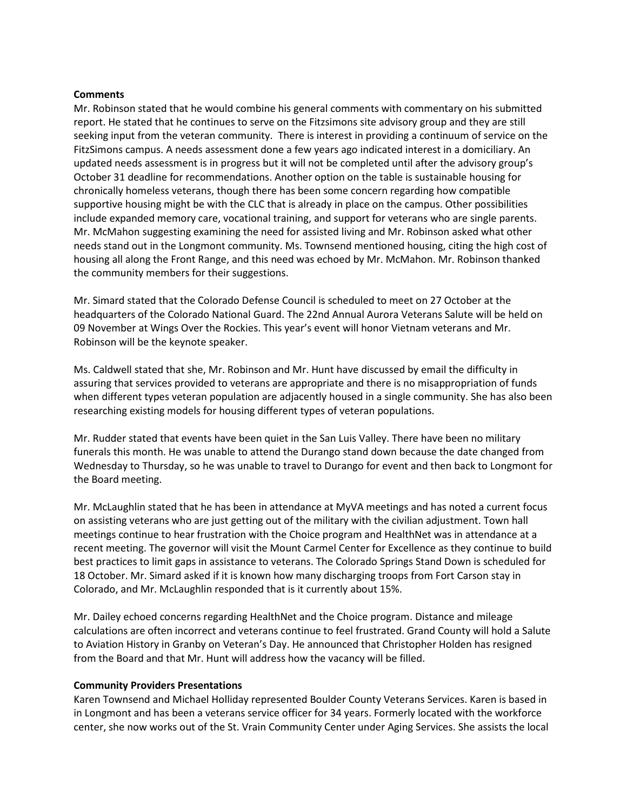## **Comments**

Mr. Robinson stated that he would combine his general comments with commentary on his submitted report. He stated that he continues to serve on the Fitzsimons site advisory group and they are still seeking input from the veteran community. There is interest in providing a continuum of service on the FitzSimons campus. A needs assessment done a few years ago indicated interest in a domiciliary. An updated needs assessment is in progress but it will not be completed until after the advisory group's October 31 deadline for recommendations. Another option on the table is sustainable housing for chronically homeless veterans, though there has been some concern regarding how compatible supportive housing might be with the CLC that is already in place on the campus. Other possibilities include expanded memory care, vocational training, and support for veterans who are single parents. Mr. McMahon suggesting examining the need for assisted living and Mr. Robinson asked what other needs stand out in the Longmont community. Ms. Townsend mentioned housing, citing the high cost of housing all along the Front Range, and this need was echoed by Mr. McMahon. Mr. Robinson thanked the community members for their suggestions.

Mr. Simard stated that the Colorado Defense Council is scheduled to meet on 27 October at the headquarters of the Colorado National Guard. The 22nd Annual Aurora Veterans Salute will be held on 09 November at Wings Over the Rockies. This year's event will honor Vietnam veterans and Mr. Robinson will be the keynote speaker.

Ms. Caldwell stated that she, Mr. Robinson and Mr. Hunt have discussed by email the difficulty in assuring that services provided to veterans are appropriate and there is no misappropriation of funds when different types veteran population are adjacently housed in a single community. She has also been researching existing models for housing different types of veteran populations.

Mr. Rudder stated that events have been quiet in the San Luis Valley. There have been no military funerals this month. He was unable to attend the Durango stand down because the date changed from Wednesday to Thursday, so he was unable to travel to Durango for event and then back to Longmont for the Board meeting.

Mr. McLaughlin stated that he has been in attendance at MyVA meetings and has noted a current focus on assisting veterans who are just getting out of the military with the civilian adjustment. Town hall meetings continue to hear frustration with the Choice program and HealthNet was in attendance at a recent meeting. The governor will visit the Mount Carmel Center for Excellence as they continue to build best practices to limit gaps in assistance to veterans. The Colorado Springs Stand Down is scheduled for 18 October. Mr. Simard asked if it is known how many discharging troops from Fort Carson stay in Colorado, and Mr. McLaughlin responded that is it currently about 15%.

Mr. Dailey echoed concerns regarding HealthNet and the Choice program. Distance and mileage calculations are often incorrect and veterans continue to feel frustrated. Grand County will hold a Salute to Aviation History in Granby on Veteran's Day. He announced that Christopher Holden has resigned from the Board and that Mr. Hunt will address how the vacancy will be filled.

#### **Community Providers Presentations**

Karen Townsend and Michael Holliday represented Boulder County Veterans Services. Karen is based in in Longmont and has been a veterans service officer for 34 years. Formerly located with the workforce center, she now works out of the St. Vrain Community Center under Aging Services. She assists the local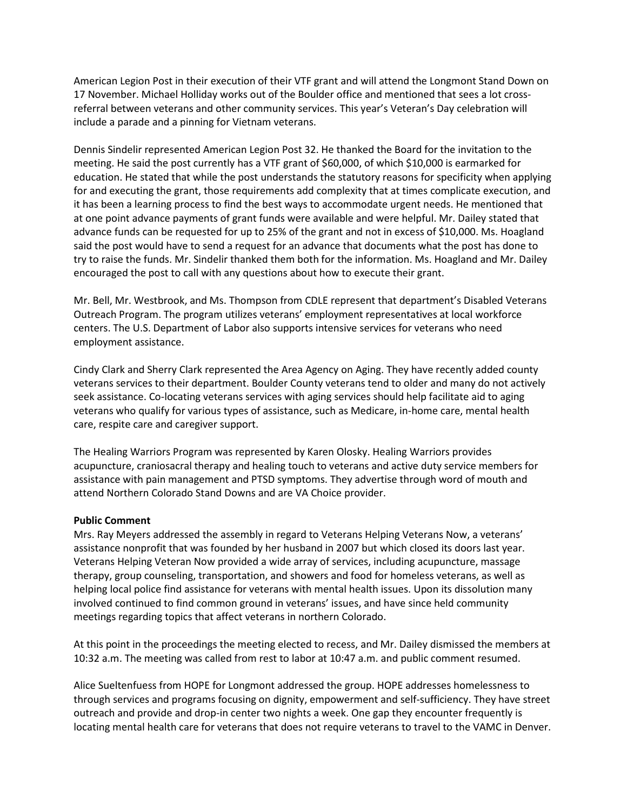American Legion Post in their execution of their VTF grant and will attend the Longmont Stand Down on 17 November. Michael Holliday works out of the Boulder office and mentioned that sees a lot crossreferral between veterans and other community services. This year's Veteran's Day celebration will include a parade and a pinning for Vietnam veterans.

Dennis Sindelir represented American Legion Post 32. He thanked the Board for the invitation to the meeting. He said the post currently has a VTF grant of \$60,000, of which \$10,000 is earmarked for education. He stated that while the post understands the statutory reasons for specificity when applying for and executing the grant, those requirements add complexity that at times complicate execution, and it has been a learning process to find the best ways to accommodate urgent needs. He mentioned that at one point advance payments of grant funds were available and were helpful. Mr. Dailey stated that advance funds can be requested for up to 25% of the grant and not in excess of \$10,000. Ms. Hoagland said the post would have to send a request for an advance that documents what the post has done to try to raise the funds. Mr. Sindelir thanked them both for the information. Ms. Hoagland and Mr. Dailey encouraged the post to call with any questions about how to execute their grant.

Mr. Bell, Mr. Westbrook, and Ms. Thompson from CDLE represent that department's Disabled Veterans Outreach Program. The program utilizes veterans' employment representatives at local workforce centers. The U.S. Department of Labor also supports intensive services for veterans who need employment assistance.

Cindy Clark and Sherry Clark represented the Area Agency on Aging. They have recently added county veterans services to their department. Boulder County veterans tend to older and many do not actively seek assistance. Co-locating veterans services with aging services should help facilitate aid to aging veterans who qualify for various types of assistance, such as Medicare, in-home care, mental health care, respite care and caregiver support.

The Healing Warriors Program was represented by Karen Olosky. Healing Warriors provides acupuncture, craniosacral therapy and healing touch to veterans and active duty service members for assistance with pain management and PTSD symptoms. They advertise through word of mouth and attend Northern Colorado Stand Downs and are VA Choice provider.

# **Public Comment**

Mrs. Ray Meyers addressed the assembly in regard to Veterans Helping Veterans Now, a veterans' assistance nonprofit that was founded by her husband in 2007 but which closed its doors last year. Veterans Helping Veteran Now provided a wide array of services, including acupuncture, massage therapy, group counseling, transportation, and showers and food for homeless veterans, as well as helping local police find assistance for veterans with mental health issues. Upon its dissolution many involved continued to find common ground in veterans' issues, and have since held community meetings regarding topics that affect veterans in northern Colorado.

At this point in the proceedings the meeting elected to recess, and Mr. Dailey dismissed the members at 10:32 a.m. The meeting was called from rest to labor at 10:47 a.m. and public comment resumed.

Alice Sueltenfuess from HOPE for Longmont addressed the group. HOPE addresses homelessness to through services and programs focusing on dignity, empowerment and self-sufficiency. They have street outreach and provide and drop-in center two nights a week. One gap they encounter frequently is locating mental health care for veterans that does not require veterans to travel to the VAMC in Denver.